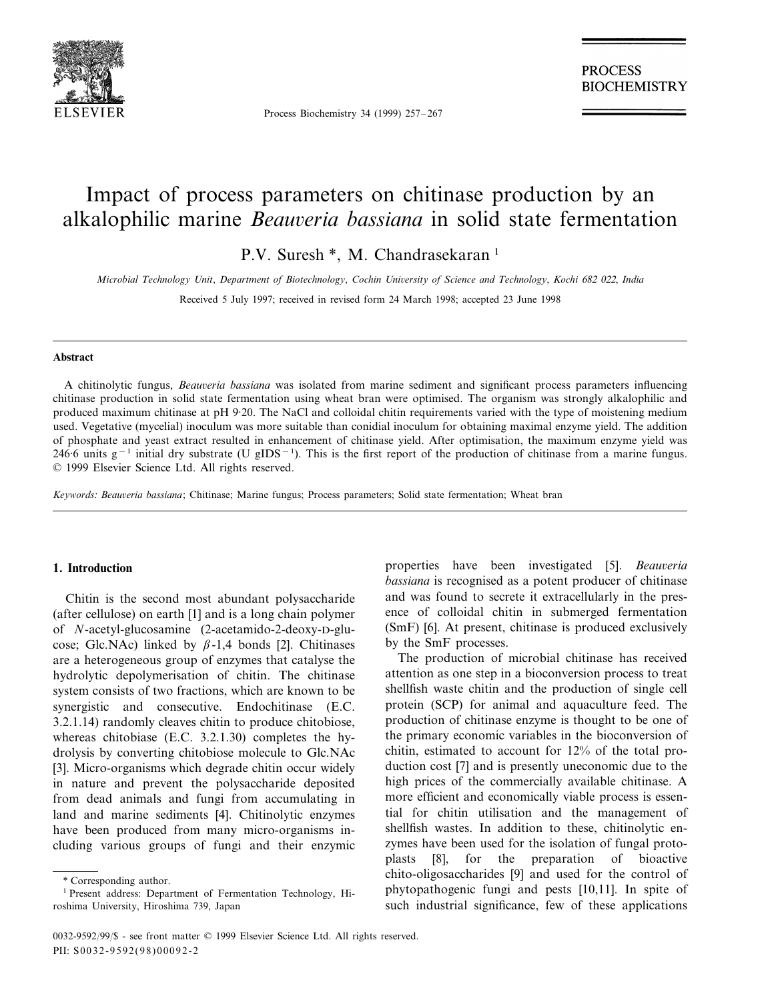

Process Biochemistry 34 (1999) 257–267

**PROCESS BIOCHEMISTRY** 

# Impact of process parameters on chitinase production by an alkalophilic marine *Beauveria bassiana* in solid state fermentation

P.V. Suresh \*, M. Chandrasekaran<sup>1</sup>

*Microbial Technology Unit*, *Department of Biotechnology*, *Cochin Uni*6*ersity of Science and Technology*, *Kochi* <sup>682</sup> <sup>022</sup>, *India*

Received 5 July 1997; received in revised form 24 March 1998; accepted 23 June 1998

#### **Abstract**

A chitinolytic fungus, *Beauveria bassiana* was isolated from marine sediment and significant process parameters influencing chitinase production in solid state fermentation using wheat bran were optimised. The organism was strongly alkalophilic and produced maximum chitinase at pH 9·20. The NaCl and colloidal chitin requirements varied with the type of moistening medium used. Vegetative (mycelial) inoculum was more suitable than conidial inoculum for obtaining maximal enzyme yield. The addition of phosphate and yeast extract resulted in enhancement of chitinase yield. After optimisation, the maximum enzyme yield was 246·6 units g<sup>-1</sup> initial dry substrate (U gIDS<sup>-1</sup>). This is the first report of the production of chitinase from a marine fungus. © 1999 Elsevier Science Ltd. All rights reserved.

*Keywords: Beauveria bassiana*; Chitinase; Marine fungus; Process parameters; Solid state fermentation; Wheat bran

## **1. Introduction**

Chitin is the second most abundant polysaccharide (after cellulose) on earth [1] and is a long chain polymer of *N*-acetyl-glucosamine (2-acetamido-2-deoxy-D-glucose; Glc.NAc) linked by  $\beta$ -1,4 bonds [2]. Chitinases are a heterogeneous group of enzymes that catalyse the hydrolytic depolymerisation of chitin. The chitinase system consists of two fractions, which are known to be synergistic and consecutive. Endochitinase (E.C. 3.2.1.14) randomly cleaves chitin to produce chitobiose, whereas chitobiase (E.C. 3.2.1.30) completes the hydrolysis by converting chitobiose molecule to Glc.NAc [3]. Micro-organisms which degrade chitin occur widely in nature and prevent the polysaccharide deposited from dead animals and fungi from accumulating in land and marine sediments [4]. Chitinolytic enzymes have been produced from many micro-organisms including various groups of fungi and their enzymic

properties have been investigated [5]. *Beauveria bassiana* is recognised as a potent producer of chitinase and was found to secrete it extracellularly in the presence of colloidal chitin in submerged fermentation (SmF) [6]. At present, chitinase is produced exclusively by the SmF processes.

The production of microbial chitinase has received attention as one step in a bioconversion process to treat shellfish waste chitin and the production of single cell protein (SCP) for animal and aquaculture feed. The production of chitinase enzyme is thought to be one of the primary economic variables in the bioconversion of chitin, estimated to account for 12% of the total production cost [7] and is presently uneconomic due to the high prices of the commercially available chitinase. A more efficient and economically viable process is essential for chitin utilisation and the management of shellfish wastes. In addition to these, chitinolytic enzymes have been used for the isolation of fungal protoplasts [8], for the preparation of bioactive chito-oligosaccharides [9] and used for the control of phytopathogenic fungi and pests [10,11]. In spite of such industrial significance, few of these applications

<sup>\*</sup> Corresponding author.

<sup>&</sup>lt;sup>1</sup> Present address: Department of Fermentation Technology, Hiroshima University, Hiroshima 739, Japan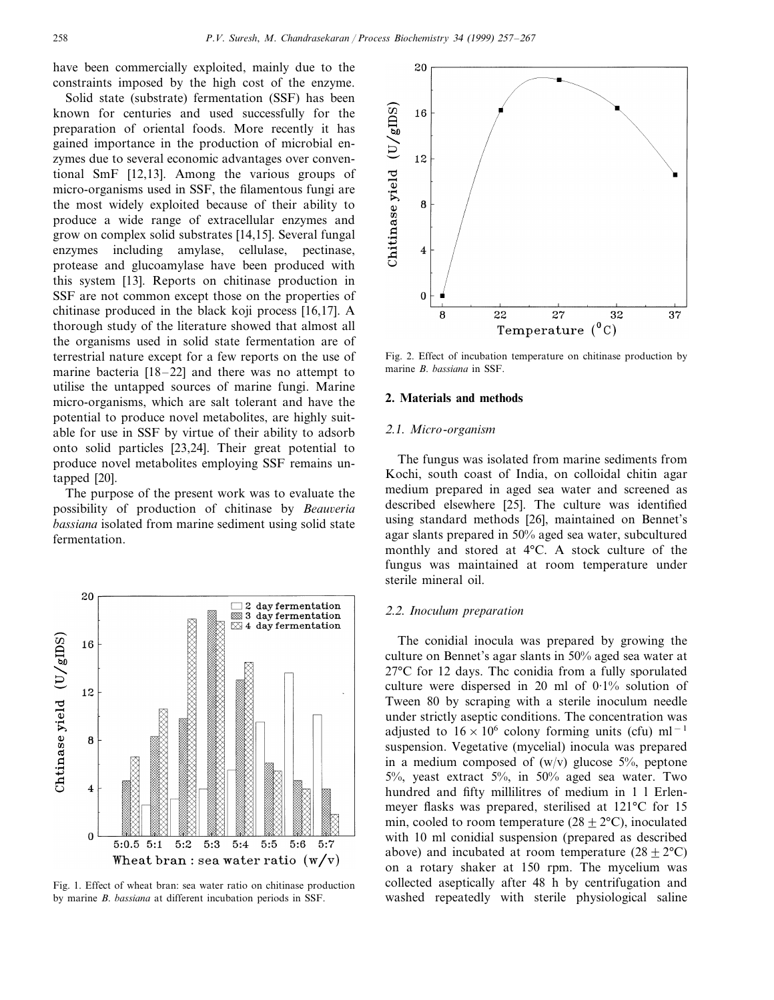have been commercially exploited, mainly due to the constraints imposed by the high cost of the enzyme.

Solid state (substrate) fermentation (SSF) has been known for centuries and used successfully for the preparation of oriental foods. More recently it has gained importance in the production of microbial enzymes due to several economic advantages over conventional SmF [12,13]. Among the various groups of micro-organisms used in SSF, the filamentous fungi are the most widely exploited because of their ability to produce a wide range of extracellular enzymes and grow on complex solid substrates [14,15]. Several fungal enzymes including amylase, cellulase, pectinase, protease and glucoamylase have been produced with this system [13]. Reports on chitinase production in SSF are not common except those on the properties of chitinase produced in the black koji process [16,17]. A thorough study of the literature showed that almost all the organisms used in solid state fermentation are of terrestrial nature except for a few reports on the use of marine bacteria [18–22] and there was no attempt to utilise the untapped sources of marine fungi. Marine micro-organisms, which are salt tolerant and have the potential to produce novel metabolites, are highly suitable for use in SSF by virtue of their ability to adsorb onto solid particles [23,24]. Their great potential to produce novel metabolites employing SSF remains untapped [20].

The purpose of the present work was to evaluate the possibility of production of chitinase by *Beauveria bassiana* isolated from marine sediment using solid state fermentation.



Fig. 1. Effect of wheat bran: sea water ratio on chitinase production by marine *B*. *bassiana* at different incubation periods in SSF.



Fig. 2. Effect of incubation temperature on chitinase production by marine *B*. *bassiana* in SSF.

## **2. Materials and methods**

## <sup>2</sup>.1. *Micro*-*organism*

The fungus was isolated from marine sediments from Kochi, south coast of India, on colloidal chitin agar medium prepared in aged sea water and screened as described elsewhere [25]. The culture was identified using standard methods [26], maintained on Bennet's agar slants prepared in 50% aged sea water, subcultured monthly and stored at 4°C. A stock culture of the fungus was maintained at room temperature under sterile mineral oil.

#### <sup>2</sup>.2. *Inoculum preparation*

The conidial inocula was prepared by growing the culture on Bennet's agar slants in 50% aged sea water at 27°C for 12 days. Thc conidia from a fully sporulated culture were dispersed in 20 ml of  $0.1\%$  solution of Tween 80 by scraping with a sterile inoculum needle under strictly aseptic conditions. The concentration was adjusted to  $16 \times 10^6$  colony forming units (cfu) ml<sup>-1</sup> suspension. Vegetative (mycelial) inocula was prepared in a medium composed of  $(w/v)$  glucose 5%, peptone 5%, yeast extract 5%, in 50% aged sea water. Two hundred and fifty millilitres of medium in 1 l Erlenmeyer flasks was prepared, sterilised at 121°C for 15 min, cooled to room temperature  $(28 \pm 2$ °C), inoculated with 10 ml conidial suspension (prepared as described above) and incubated at room temperature  $(28 \pm 2^{\circ}\text{C})$ on a rotary shaker at 150 rpm. The mycelium was collected aseptically after 48 h by centrifugation and washed repeatedly with sterile physiological saline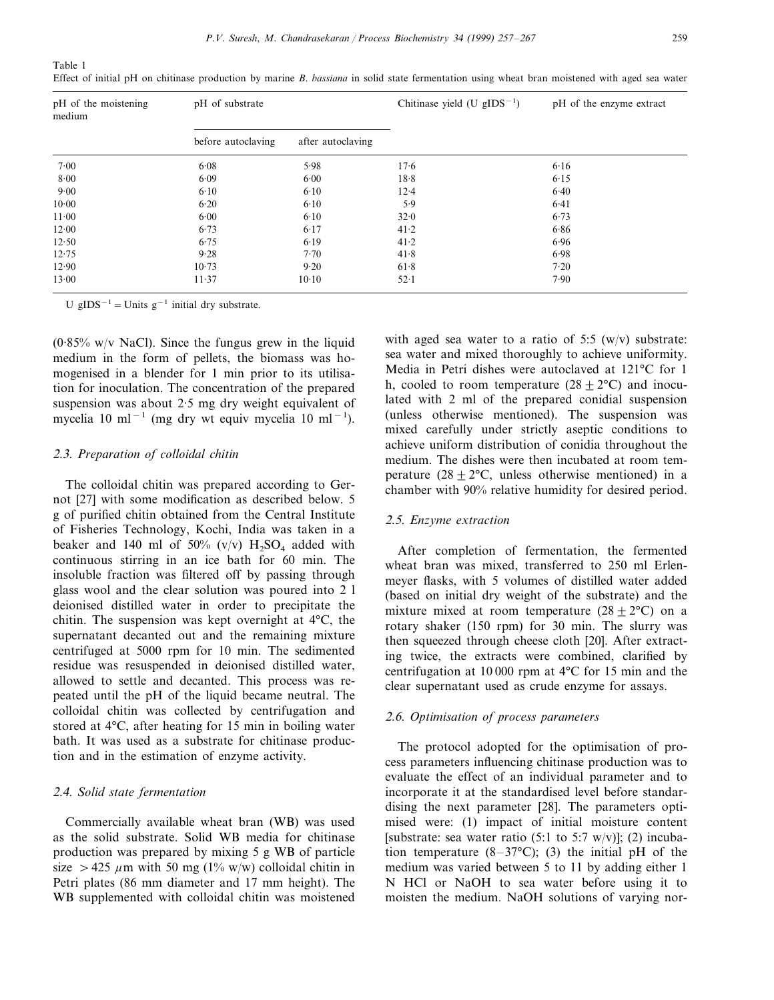Table 1 Effect of initial pH on chitinase production by marine *B*. *bassiana* in solid state fermentation using wheat bran moistened with aged sea water

| pH of the moistening<br>medium | pH of substrate    |                   | Chitinase yield (U $gIDS^{-1}$ ) | pH of the enzyme extract |
|--------------------------------|--------------------|-------------------|----------------------------------|--------------------------|
|                                | before autoclaving | after autoclaving |                                  |                          |
| 7.00                           | 6.08               | 5.98              | 17.6                             | 6.16                     |
| 8.00                           | 6.09               | 6.00              | 18.8                             | 6.15                     |
| 9.00                           | 6.10               | 6.10              | $12 - 4$                         | 6.40                     |
| $10-00$                        | 6.20               | 6.10              | 5.9                              | 6.41                     |
| $11-00$                        | 6.00               | 6.10              | 32.0                             | 6.73                     |
| 12.00                          | 6.73               | 6.17              | 41.2                             | 6.86                     |
| 12.50                          | 6.75               | 6.19              | 41.2                             | 6.96                     |
| 12.75                          | 9.28               | 7.70              | 41.8                             | 6.98                     |
| 12.90                          | 10.73              | 9.20              | 61.8                             | 7.20                     |
| 13.00                          | 11.37              | $10-10$           | $52 \cdot 1$                     | 7.90                     |

U gIDS<sup> $-1$ </sup> = Units g<sup>-1</sup> initial dry substrate.

( $0.85\%$  w/v NaCl). Since the fungus grew in the liquid medium in the form of pellets, the biomass was homogenised in a blender for 1 min prior to its utilisation for inoculation. The concentration of the prepared suspension was about 2·5 mg dry weight equivalent of mycelia 10 ml<sup>−</sup><sup>1</sup> (mg dry wt equiv mycelia 10 ml<sup>−</sup><sup>1</sup> ).

#### <sup>2</sup>.3. *Preparation of colloidal chitin*

The colloidal chitin was prepared according to Gernot [27] with some modification as described below. 5 g of purified chitin obtained from the Central Institute of Fisheries Technology, Kochi, India was taken in a beaker and 140 ml of 50% (v/v)  $H_2SO_4$  added with continuous stirring in an ice bath for 60 min. The insoluble fraction was filtered off by passing through glass wool and the clear solution was poured into 2 l deionised distilled water in order to precipitate the chitin. The suspension was kept overnight at 4°C, the supernatant decanted out and the remaining mixture centrifuged at 5000 rpm for 10 min. The sedimented residue was resuspended in deionised distilled water, allowed to settle and decanted. This process was repeated until the pH of the liquid became neutral. The colloidal chitin was collected by centrifugation and stored at 4°C, after heating for 15 min in boiling water bath. It was used as a substrate for chitinase production and in the estimation of enzyme activity.

## <sup>2</sup>.4. *Solid state fermentation*

Commercially available wheat bran (WB) was used as the solid substrate. Solid WB media for chitinase production was prepared by mixing 5 g WB of particle size  $> 425 \mu m$  with 50 mg (1% w/w) colloidal chitin in Petri plates (86 mm diameter and 17 mm height). The WB supplemented with colloidal chitin was moistened with aged sea water to a ratio of 5:5  $(w/v)$  substrate: sea water and mixed thoroughly to achieve uniformity. Media in Petri dishes were autoclaved at 121°C for 1 h, cooled to room temperature  $(28 \pm 2^{\circ}\text{C})$  and inoculated with 2 ml of the prepared conidial suspension (unless otherwise mentioned). The suspension was mixed carefully under strictly aseptic conditions to achieve uniform distribution of conidia throughout the medium. The dishes were then incubated at room temperature  $(28 + 2$ °C, unless otherwise mentioned) in a chamber with 90% relative humidity for desired period.

#### <sup>2</sup>.5. *Enzyme extraction*

After completion of fermentation, the fermented wheat bran was mixed, transferred to 250 ml Erlenmeyer flasks, with 5 volumes of distilled water added (based on initial dry weight of the substrate) and the mixture mixed at room temperature  $(28 \pm 2^{\circ}\text{C})$  on a rotary shaker (150 rpm) for 30 min. The slurry was then squeezed through cheese cloth [20]. After extracting twice, the extracts were combined, clarified by centrifugation at 10 000 rpm at 4°C for 15 min and the clear supernatant used as crude enzyme for assays.

## <sup>2</sup>.6. *Optimisation of process parameters*

The protocol adopted for the optimisation of process parameters influencing chitinase production was to evaluate the effect of an individual parameter and to incorporate it at the standardised level before standardising the next parameter [28]. The parameters optimised were: (1) impact of initial moisture content [substrate: sea water ratio  $(5:1 \text{ to } 5:7 \text{ w/v})$ ]; (2) incubation temperature  $(8-37^{\circ}C)$ ; (3) the initial pH of the medium was varied between 5 to 11 by adding either 1 N HCl or NaOH to sea water before using it to moisten the medium. NaOH solutions of varying nor-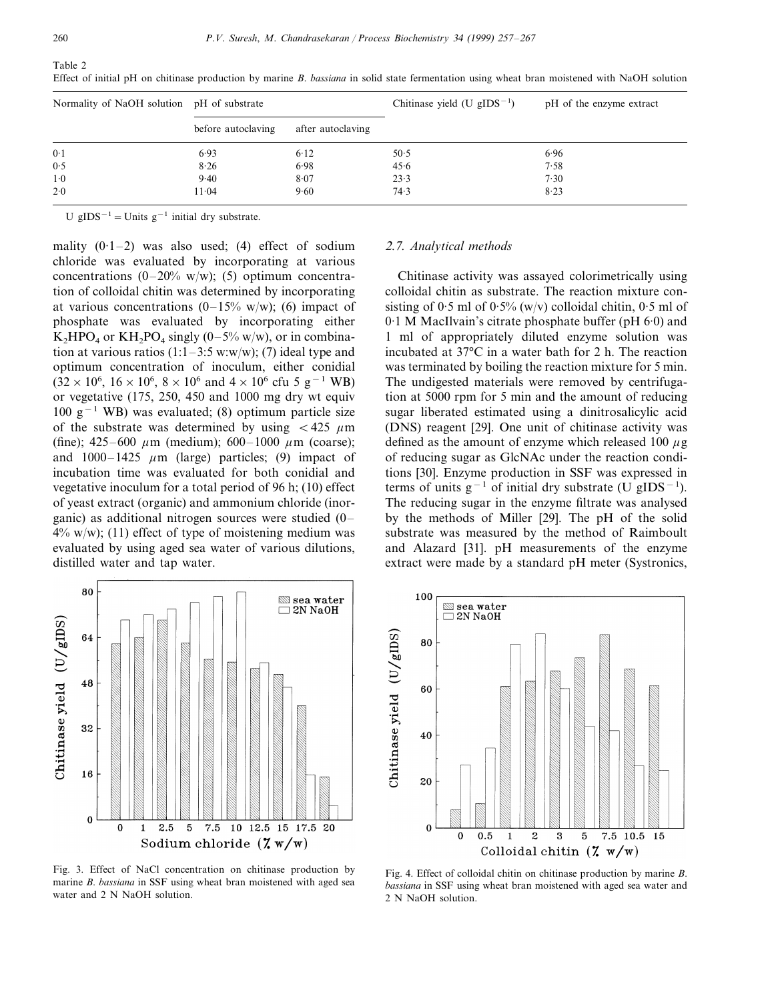Effect of initial pH on chitinase production by marine *B*. *bassiana* in solid state fermentation using wheat bran moistened with NaOH solution

| Normality of NaOH solution pH of substrate |                    |                   | Chitinase yield (U $gIDS^{-1}$ ) | pH of the enzyme extract |
|--------------------------------------------|--------------------|-------------------|----------------------------------|--------------------------|
|                                            | before autoclaving | after autoclaving |                                  |                          |
| 0.1                                        | 6.93               | 6.12              | 50.5                             | 6.96                     |
| 0.5                                        | 8.26               | 6.98              | 45.6                             | 7.58                     |
| $1-0$                                      | 9.40               | 8.07              | 23.3                             | 7.30                     |
| 2.0                                        | 11.04              | 9.60              | 74.3                             | 8.23                     |

U gIDS<sup> $-1$ </sup> = Units g<sup>-1</sup> initial dry substrate.

mality  $(0.1-2)$  was also used; (4) effect of sodium chloride was evaluated by incorporating at various concentrations  $(0-20\% \text{ w/w})$ ; (5) optimum concentration of colloidal chitin was determined by incorporating at various concentrations  $(0-15\% \text{ w/w})$ ; (6) impact of phosphate was evaluated by incorporating either  $K_2HPO_4$  or  $KH_2PO_4$  singly (0–5% w/w), or in combination at various ratios  $(1:1-3:5 \text{ w:w/w})$ ; (7) ideal type and optimum concentration of inoculum, either conidial  $(32 \times 10^6, 16 \times 10^6, 8 \times 10^6 \text{ and } 4 \times 10^6 \text{ cftu } 5 \text{ g}^{-1} \text{ W}\text{B})$ or vegetative (175, 250, 450 and 1000 mg dry wt equiv 100 g<sup>-1</sup> WB) was evaluated; (8) optimum particle size of the substrate was determined by using  $\lt$  425  $\mu$ m (fine); 425–600  $\mu$ m (medium); 600–1000  $\mu$ m (coarse); and  $1000-1425 \mu m$  (large) particles; (9) impact of incubation time was evaluated for both conidial and vegetative inoculum for a total period of 96 h; (10) effect of yeast extract (organic) and ammonium chloride (inorganic) as additional nitrogen sources were studied (0–  $4\%$  w/w); (11) effect of type of moistening medium was evaluated by using aged sea water of various dilutions, distilled water and tap water.



Fig. 3. Effect of NaCl concentration on chitinase production by marine *B*. *bassiana* in SSF using wheat bran moistened with aged sea water and 2 N NaOH solution.

#### <sup>2</sup>.7. *Analytical methods*

Chitinase activity was assayed colorimetrically using colloidal chitin as substrate. The reaction mixture consisting of  $0.5$  ml of  $0.5\%$  (w/v) colloidal chitin,  $0.5$  ml of 0·1 M MacIlvain's citrate phosphate buffer (pH 6·0) and 1 ml of appropriately diluted enzyme solution was incubated at 37°C in a water bath for 2 h. The reaction was terminated by boiling the reaction mixture for 5 min. The undigested materials were removed by centrifugation at 5000 rpm for 5 min and the amount of reducing sugar liberated estimated using a dinitrosalicylic acid (DNS) reagent [29]. One unit of chitinase activity was defined as the amount of enzyme which released 100  $\mu$ g of reducing sugar as GlcNAc under the reaction conditions [30]. Enzyme production in SSF was expressed in terms of units  $g^{-1}$  of initial dry substrate (U gIDS<sup>-1</sup>). The reducing sugar in the enzyme filtrate was analysed by the methods of Miller [29]. The pH of the solid substrate was measured by the method of Raimboult and Alazard [31]. pH measurements of the enzyme extract were made by a standard pH meter (Systronics,



Fig. 4. Effect of colloidal chitin on chitinase production by marine *B*. *bassiana* in SSF using wheat bran moistened with aged sea water and 2 N NaOH solution.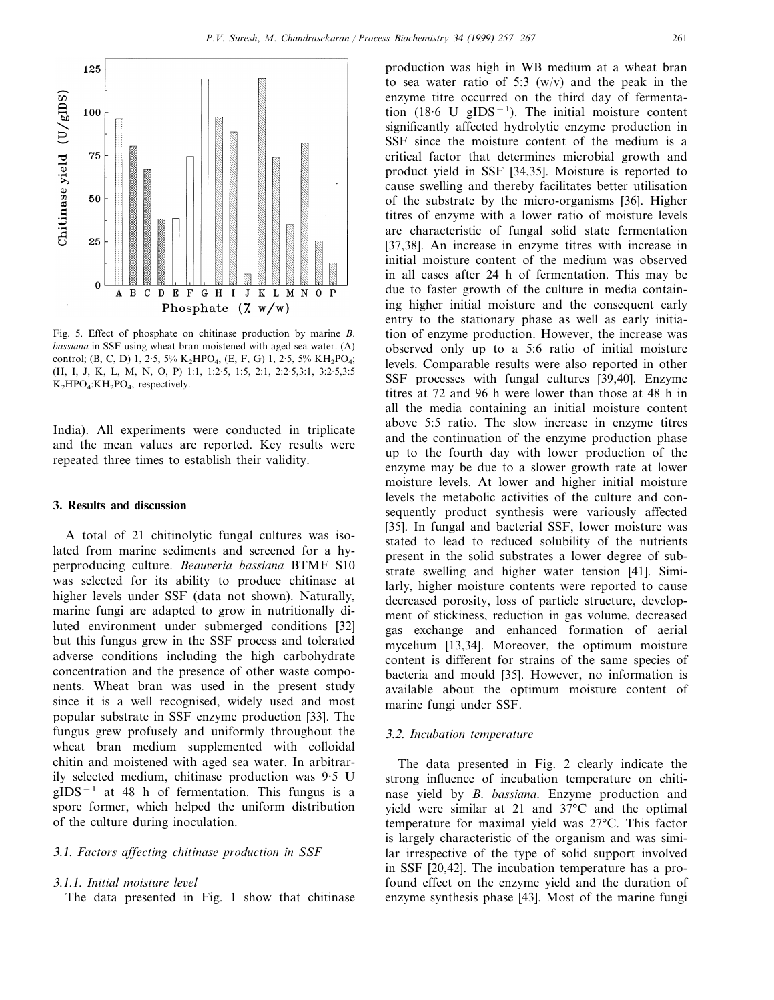

Fig. 5. Effect of phosphate on chitinase production by marine *B*. *bassiana* in SSF using wheat bran moistened with aged sea water. (A) control; (B, C, D) 1, 2.5, 5% K<sub>2</sub>HPO<sub>4</sub>, (E, F, G) 1, 2.5, 5% KH<sub>2</sub>PO<sub>4</sub>; (H, I, J, K, L, M, N, O, P) 1:1, 1:2·5, 1:5, 2:1, 2:2·5,3:1, 3:2·5,3:5 K<sub>2</sub>HPO<sub>4</sub>:KH<sub>2</sub>PO<sub>4</sub>, respectively.

India). All experiments were conducted in triplicate and the mean values are reported. Key results were repeated three times to establish their validity.

#### **3. Results and discussion**

A total of 21 chitinolytic fungal cultures was isolated from marine sediments and screened for a hyperproducing culture. *Beauveria bassiana* BTMF S10 was selected for its ability to produce chitinase at higher levels under SSF (data not shown). Naturally, marine fungi are adapted to grow in nutritionally diluted environment under submerged conditions [32] but this fungus grew in the SSF process and tolerated adverse conditions including the high carbohydrate concentration and the presence of other waste components. Wheat bran was used in the present study since it is a well recognised, widely used and most popular substrate in SSF enzyme production [33]. The fungus grew profusely and uniformly throughout the wheat bran medium supplemented with colloidal chitin and moistened with aged sea water. In arbitrarily selected medium, chitinase production was 9·5 U gIDS−<sup>1</sup> at 48 h of fermentation. This fungus is a spore former, which helped the uniform distribution of the culture during inoculation.

# 3.1. *Factors affecting chitinase production in SSF*

## 3.1.1. *Initial moisture level*

The data presented in Fig. 1 show that chitinase

production was high in WB medium at a wheat bran to sea water ratio of 5:3  $(w/v)$  and the peak in the enzyme titre occurred on the third day of fermentation (18.6 U gIDS<sup>-1</sup>). The initial moisture content significantly affected hydrolytic enzyme production in SSF since the moisture content of the medium is a critical factor that determines microbial growth and product yield in SSF [34,35]. Moisture is reported to cause swelling and thereby facilitates better utilisation of the substrate by the micro-organisms [36]. Higher titres of enzyme with a lower ratio of moisture levels are characteristic of fungal solid state fermentation [37,38]. An increase in enzyme titres with increase in initial moisture content of the medium was observed in all cases after 24 h of fermentation. This may be due to faster growth of the culture in media containing higher initial moisture and the consequent early entry to the stationary phase as well as early initiation of enzyme production. However, the increase was observed only up to a 5:6 ratio of initial moisture levels. Comparable results were also reported in other SSF processes with fungal cultures [39,40]. Enzyme titres at 72 and 96 h were lower than those at 48 h in all the media containing an initial moisture content above 5:5 ratio. The slow increase in enzyme titres and the continuation of the enzyme production phase up to the fourth day with lower production of the enzyme may be due to a slower growth rate at lower moisture levels. At lower and higher initial moisture levels the metabolic activities of the culture and consequently product synthesis were variously affected [35]. In fungal and bacterial SSF, lower moisture was stated to lead to reduced solubility of the nutrients present in the solid substrates a lower degree of substrate swelling and higher water tension [41]. Similarly, higher moisture contents were reported to cause decreased porosity, loss of particle structure, development of stickiness, reduction in gas volume, decreased gas exchange and enhanced formation of aerial mycelium [13,34]. Moreover, the optimum moisture content is different for strains of the same species of bacteria and mould [35]. However, no information is available about the optimum moisture content of marine fungi under SSF.

## 3.2. *Incubation temperature*

The data presented in Fig. 2 clearly indicate the strong influence of incubation temperature on chitinase yield by *B*. *bassiana*. Enzyme production and yield were similar at 21 and 37°C and the optimal temperature for maximal yield was 27°C. This factor is largely characteristic of the organism and was similar irrespective of the type of solid support involved in SSF [20,42]. The incubation temperature has a profound effect on the enzyme yield and the duration of enzyme synthesis phase [43]. Most of the marine fungi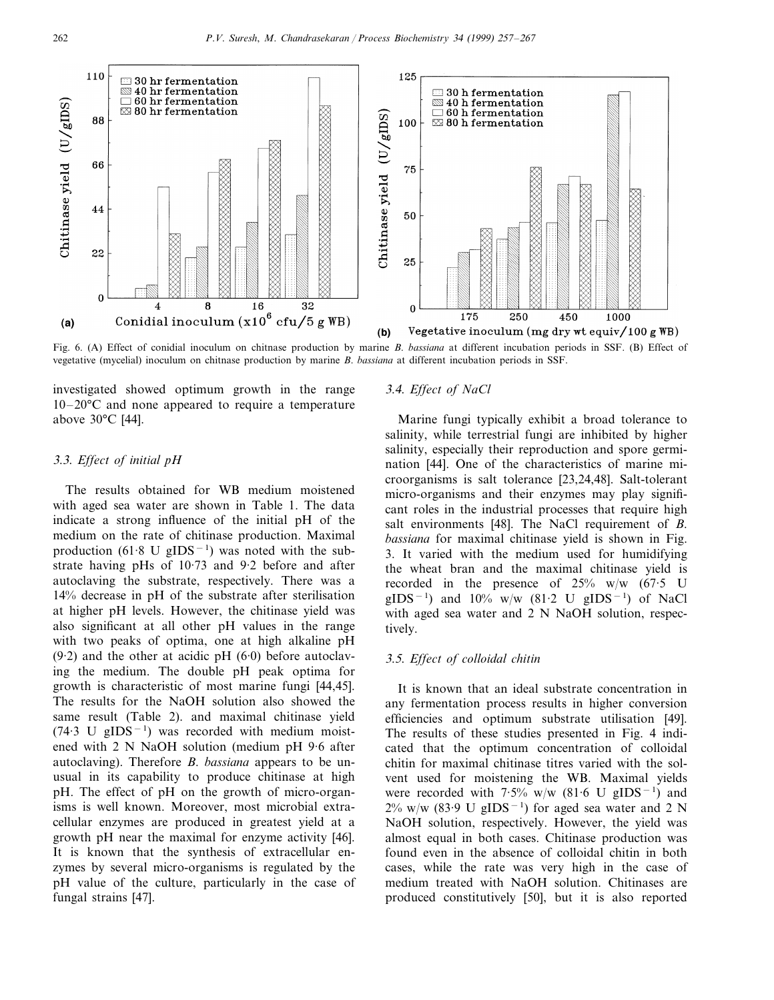

Fig. 6. (A) Effect of conidial inoculum on chitnase production by marine *B*. *bassiana* at different incubation periods in SSF. (B) Effect of vegetative (mycelial) inoculum on chitnase production by marine *B*. *bassiana* at different incubation periods in SSF.

investigated showed optimum growth in the range 10–20°C and none appeared to require a temperature above 30°C [44].

## 3.3. *Effect of initial pH*

The results obtained for WB medium moistened with aged sea water are shown in Table 1. The data indicate a strong influence of the initial pH of the medium on the rate of chitinase production. Maximal production (61.8 U gIDS<sup>-1</sup>) was noted with the substrate having pHs of 10·73 and 9·2 before and after autoclaving the substrate, respectively. There was a 14% decrease in pH of the substrate after sterilisation at higher pH levels. However, the chitinase yield was also significant at all other pH values in the range with two peaks of optima, one at high alkaline pH  $(9.2)$  and the other at acidic pH  $(6.0)$  before autoclaving the medium. The double pH peak optima for growth is characteristic of most marine fungi [44,45]. The results for the NaOH solution also showed the same result (Table 2). and maximal chitinase yield  $(74.3 \text{ U} \text{ gIDS}^{-1})$  was recorded with medium moistened with 2 N NaOH solution (medium pH 9·6 after autoclaving). Therefore *B*. *bassiana* appears to be unusual in its capability to produce chitinase at high pH. The effect of pH on the growth of micro-organisms is well known. Moreover, most microbial extracellular enzymes are produced in greatest yield at a growth pH near the maximal for enzyme activity [46]. It is known that the synthesis of extracellular enzymes by several micro-organisms is regulated by the pH value of the culture, particularly in the case of fungal strains [47].

#### 3.4. *Effect of NaCl*

Marine fungi typically exhibit a broad tolerance to salinity, while terrestrial fungi are inhibited by higher salinity, especially their reproduction and spore germination [44]. One of the characteristics of marine microorganisms is salt tolerance [23,24,48]. Salt-tolerant micro-organisms and their enzymes may play significant roles in the industrial processes that require high salt environments [48]. The NaCl requirement of *B*. *bassiana* for maximal chitinase yield is shown in Fig. 3. It varied with the medium used for humidifying the wheat bran and the maximal chitinase yield is recorded in the presence of  $25\%$  w/w (67.5 U gIDS<sup>-1</sup>) and 10% w/w (81⋅2 U gIDS<sup>-1</sup>) of NaCl with aged sea water and 2 N NaOH solution, respectively.

#### 3.5. *Effect of colloidal chitin*

It is known that an ideal substrate concentration in any fermentation process results in higher conversion efficiencies and optimum substrate utilisation [49]. The results of these studies presented in Fig. 4 indicated that the optimum concentration of colloidal chitin for maximal chitinase titres varied with the solvent used for moistening the WB. Maximal yields were recorded with  $7.5\%$  w/w (81.6 U gIDS<sup>-1</sup>) and  $2\%$  w/w (83.9 U gIDS<sup>-1</sup>) for aged sea water and 2 N NaOH solution, respectively. However, the yield was almost equal in both cases. Chitinase production was found even in the absence of colloidal chitin in both cases, while the rate was very high in the case of medium treated with NaOH solution. Chitinases are produced constitutively [50], but it is also reported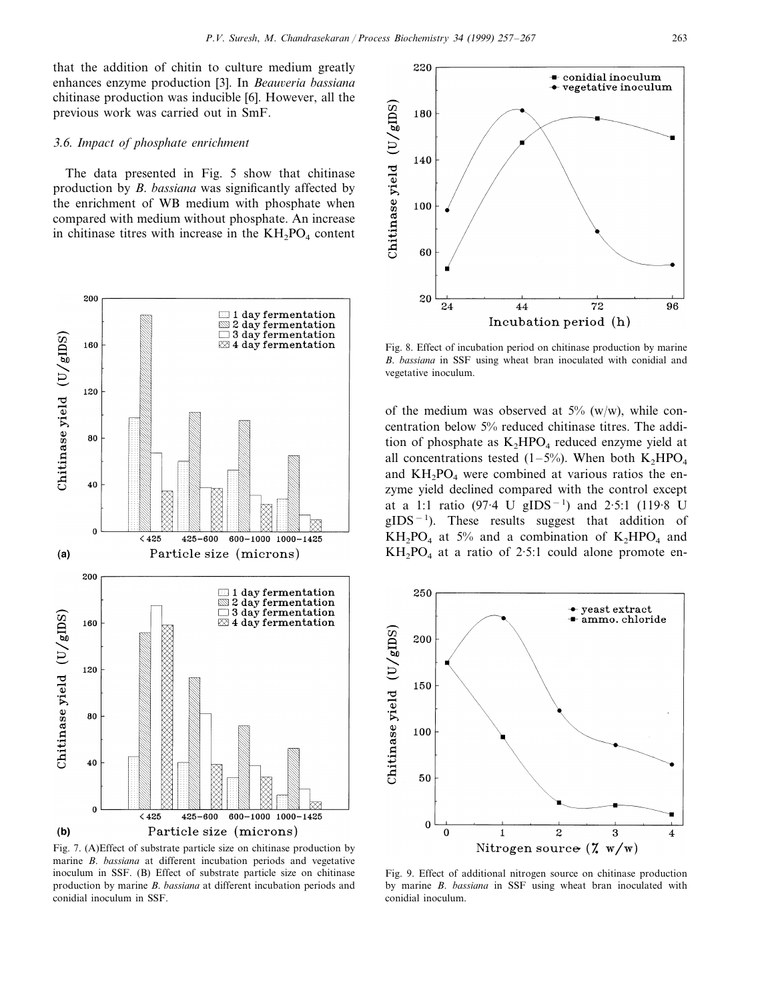that the addition of chitin to culture medium greatly enhances enzyme production [3]. In *Beauveria bassiana* chitinase production was inducible [6]. However, all the previous work was carried out in SmF.

#### 3.6. *Impact of phosphate enrichment*

The data presented in Fig. 5 show that chitinase production by *B*. *bassiana* was significantly affected by the enrichment of WB medium with phosphate when compared with medium without phosphate. An increase in chitinase titres with increase in the  $KH_2PO_4$  content



Fig. 7. (A)Effect of substrate particle size on chitinase production by marine *B*. *bassiana* at different incubation periods and vegetative inoculum in SSF. (B) Effect of substrate particle size on chitinase production by marine *B*. *bassiana* at different incubation periods and conidial inoculum in SSF.



Fig. 8. Effect of incubation period on chitinase production by marine *B*. *bassiana* in SSF using wheat bran inoculated with conidial and vegetative inoculum.

of the medium was observed at  $5\%$  (w/w), while concentration below 5% reduced chitinase titres. The addition of phosphate as  $K_2HPO_4$  reduced enzyme yield at all concentrations tested (1–5%). When both  $K_2HPO_4$ and  $KH<sub>2</sub>PO<sub>4</sub>$  were combined at various ratios the enzyme yield declined compared with the control except at a 1:1 ratio (97.4 U gIDS<sup>-1</sup>) and 2.5:1 (119.8 U  $gIDS^{-1}$ ). These results suggest that addition of  $KH_2PO_4$  at 5% and a combination of  $K_2HPO_4$  and  $KH<sub>2</sub>PO<sub>4</sub>$  at a ratio of 2.5:1 could alone promote en-



Fig. 9. Effect of additional nitrogen source on chitinase production by marine *B*. *bassiana* in SSF using wheat bran inoculated with conidial inoculum.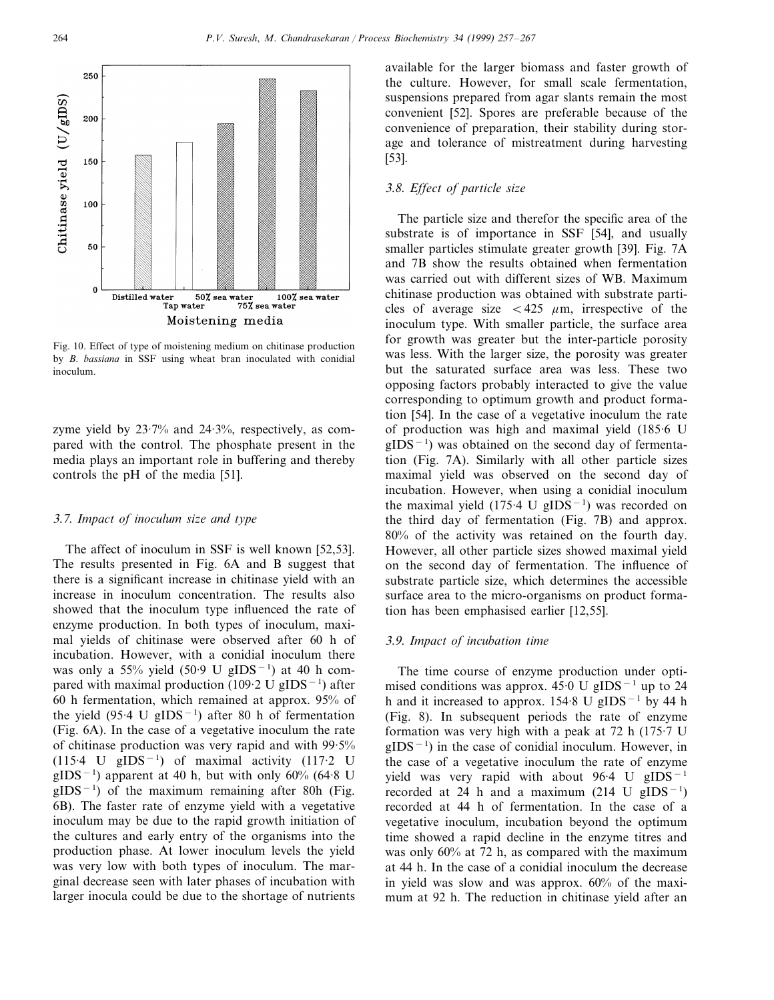

Fig. 10. Effect of type of moistening medium on chitinase production by *B*. *bassiana* in SSF using wheat bran inoculated with conidial inoculum.

zyme yield by 23·7% and 24·3%, respectively, as compared with the control. The phosphate present in the media plays an important role in buffering and thereby controls the pH of the media [51].

#### 3.7. *Impact of inoculum size and type*

The affect of inoculum in SSF is well known [52,53]. The results presented in Fig. 6A and B suggest that there is a significant increase in chitinase yield with an increase in inoculum concentration. The results also showed that the inoculum type influenced the rate of enzyme production. In both types of inoculum, maximal yields of chitinase were observed after 60 h of incubation. However, with a conidial inoculum there was only a 55% yield (50.9 U gIDS<sup>-1</sup>) at 40 h compared with maximal production (109·2 U gIDS<sup>-1</sup>) after 60 h fermentation, which remained at approx. 95% of the yield  $(95.4 \text{ U } gIDS^{-1})$  after 80 h of fermentation (Fig. 6A). In the case of a vegetative inoculum the rate of chitinase production was very rapid and with 99·5%  $(115.4 \text{ U} \text{ gIDS}^{-1})$  of maximal activity  $(117.2 \text{ U})$  $gIDS^{-1}$ ) apparent at 40 h, but with only 60% (64.8 U  $gIDS^{-1}$ ) of the maximum remaining after 80h (Fig. 6B). The faster rate of enzyme yield with a vegetative inoculum may be due to the rapid growth initiation of the cultures and early entry of the organisms into the production phase. At lower inoculum levels the yield was very low with both types of inoculum. The marginal decrease seen with later phases of incubation with larger inocula could be due to the shortage of nutrients

available for the larger biomass and faster growth of the culture. However, for small scale fermentation, suspensions prepared from agar slants remain the most convenient [52]. Spores are preferable because of the convenience of preparation, their stability during storage and tolerance of mistreatment during harvesting [53].

## 3.8. *Effect of particle size*

The particle size and therefor the specific area of the substrate is of importance in SSF [54], and usually smaller particles stimulate greater growth [39]. Fig. 7A and 7B show the results obtained when fermentation was carried out with different sizes of WB. Maximum chitinase production was obtained with substrate particles of average size  $< 425 \mu m$ , irrespective of the inoculum type. With smaller particle, the surface area for growth was greater but the inter-particle porosity was less. With the larger size, the porosity was greater but the saturated surface area was less. These two opposing factors probably interacted to give the value corresponding to optimum growth and product formation [54]. In the case of a vegetative inoculum the rate of production was high and maximal yield (185·6 U gIDS<sup>-1</sup>) was obtained on the second day of fermentation (Fig. 7A). Similarly with all other particle sizes maximal yield was observed on the second day of incubation. However, when using a conidial inoculum the maximal yield  $(175.4 \text{ U gIDS}^{-1})$  was recorded on the third day of fermentation (Fig. 7B) and approx. 80% of the activity was retained on the fourth day. However, all other particle sizes showed maximal yield on the second day of fermentation. The influence of substrate particle size, which determines the accessible surface area to the micro-organisms on product formation has been emphasised earlier [12,55].

## 3.9. *Impact of incubation time*

The time course of enzyme production under optimised conditions was approx.  $45.0 \text{ U gIDS}^{-1}$  up to 24 h and it increased to approx. 154·8 U gIDS−<sup>1</sup> by 44 h (Fig. 8). In subsequent periods the rate of enzyme formation was very high with a peak at 72 h (175·7 U gIDS<sup>-1</sup>) in the case of conidial inoculum. However, in the case of a vegetative inoculum the rate of enzyme yield was very rapid with about 96.4 U gIDS<sup>-1</sup> recorded at 24 h and a maximum (214 U gIDS<sup>-1</sup>) recorded at 44 h of fermentation. In the case of a vegetative inoculum, incubation beyond the optimum time showed a rapid decline in the enzyme titres and was only 60% at 72 h, as compared with the maximum at 44 h. In the case of a conidial inoculum the decrease in yield was slow and was approx. 60% of the maximum at 92 h. The reduction in chitinase yield after an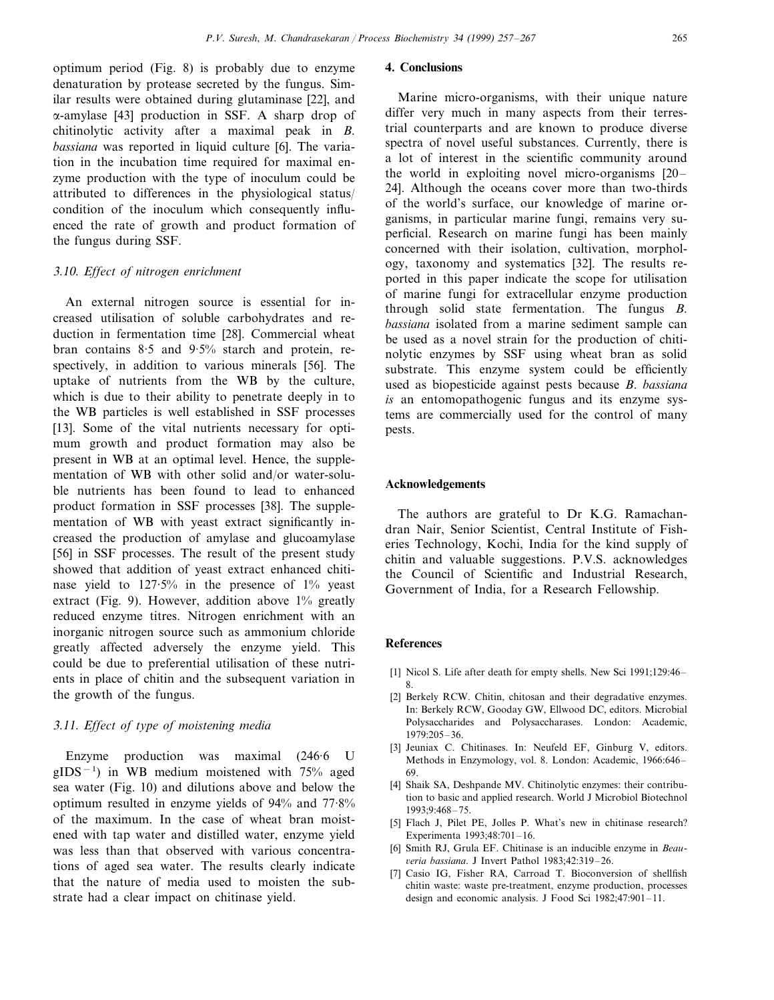optimum period (Fig. 8) is probably due to enzyme denaturation by protease secreted by the fungus. Similar results were obtained during glutaminase [22], and a-amylase [43] production in SSF. A sharp drop of chitinolytic activity after a maximal peak in *B*. *bassiana* was reported in liquid culture [6]. The variation in the incubation time required for maximal enzyme production with the type of inoculum could be attributed to differences in the physiological status/ condition of the inoculum which consequently influenced the rate of growth and product formation of the fungus during SSF.

## 3.10. *Effect of nitrogen enrichment*

An external nitrogen source is essential for increased utilisation of soluble carbohydrates and reduction in fermentation time [28]. Commercial wheat bran contains 8·5 and 9·5% starch and protein, respectively, in addition to various minerals [56]. The uptake of nutrients from the WB by the culture, which is due to their ability to penetrate deeply in to the WB particles is well established in SSF processes [13]. Some of the vital nutrients necessary for optimum growth and product formation may also be present in WB at an optimal level. Hence, the supplementation of WB with other solid and/or water-soluble nutrients has been found to lead to enhanced product formation in SSF processes [38]. The supplementation of WB with yeast extract significantly increased the production of amylase and glucoamylase [56] in SSF processes. The result of the present study showed that addition of yeast extract enhanced chitinase yield to 127·5% in the presence of 1% yeast extract (Fig. 9). However, addition above  $1\%$  greatly reduced enzyme titres. Nitrogen enrichment with an inorganic nitrogen source such as ammonium chloride greatly affected adversely the enzyme yield. This could be due to preferential utilisation of these nutrients in place of chitin and the subsequent variation in the growth of the fungus.

## 3.11. *Effect of type of moistening media*

Enzyme production was maximal (246·6 U gIDS<sup>-1</sup>) in WB medium moistened with 75% aged sea water (Fig. 10) and dilutions above and below the optimum resulted in enzyme yields of 94% and 77·8% of the maximum. In the case of wheat bran moistened with tap water and distilled water, enzyme yield was less than that observed with various concentrations of aged sea water. The results clearly indicate that the nature of media used to moisten the substrate had a clear impact on chitinase yield.

## **4. Conclusions**

Marine micro-organisms, with their unique nature differ very much in many aspects from their terrestrial counterparts and are known to produce diverse spectra of novel useful substances. Currently, there is a lot of interest in the scientific community around the world in exploiting novel micro-organisms [20– 24]. Although the oceans cover more than two-thirds of the world's surface, our knowledge of marine organisms, in particular marine fungi, remains very superficial. Research on marine fungi has been mainly concerned with their isolation, cultivation, morphology, taxonomy and systematics [32]. The results reported in this paper indicate the scope for utilisation of marine fungi for extracellular enzyme production through solid state fermentation. The fungus *B*. *bassiana* isolated from a marine sediment sample can be used as a novel strain for the production of chitinolytic enzymes by SSF using wheat bran as solid substrate. This enzyme system could be efficiently used as biopesticide against pests because *B*. *bassiana is* an entomopathogenic fungus and its enzyme systems are commercially used for the control of many pests.

## **Acknowledgements**

The authors are grateful to Dr K.G. Ramachandran Nair, Senior Scientist, Central Institute of Fisheries Technology, Kochi, India for the kind supply of chitin and valuable suggestions. P.V.S. acknowledges the Council of Scientific and Industrial Research, Government of India, for a Research Fellowship.

#### **References**

- [1] Nicol S. Life after death for empty shells. New Sci 1991;129:46– 8.
- [2] Berkely RCW. Chitin, chitosan and their degradative enzymes. In: Berkely RCW, Gooday GW, Ellwood DC, editors. Microbial Polysaccharides and Polysaccharases. London: Academic, 1979:205–36.
- [3] Jeuniax C. Chitinases. In: Neufeld EF, Ginburg V, editors. Methods in Enzymology, vol. 8. London: Academic, 1966:646– 69.
- [4] Shaik SA, Deshpande MV. Chitinolytic enzymes: their contribution to basic and applied research. World J Microbiol Biotechnol 1993;9:468–75.
- [5] Flach J, Pilet PE, Jolles P. What's new in chitinase research? Experimenta 1993;48:701–16.
- [6] Smith RJ, Grula EF. Chitinase is an inducible enzyme in *Beau*-6*eria bassiana*. J Invert Pathol 1983;42:319–26.
- [7] Casio IG, Fisher RA, Carroad T. Bioconversion of shellfish chitin waste: waste pre-treatment, enzyme production, processes design and economic analysis. J Food Sci 1982;47:901–11.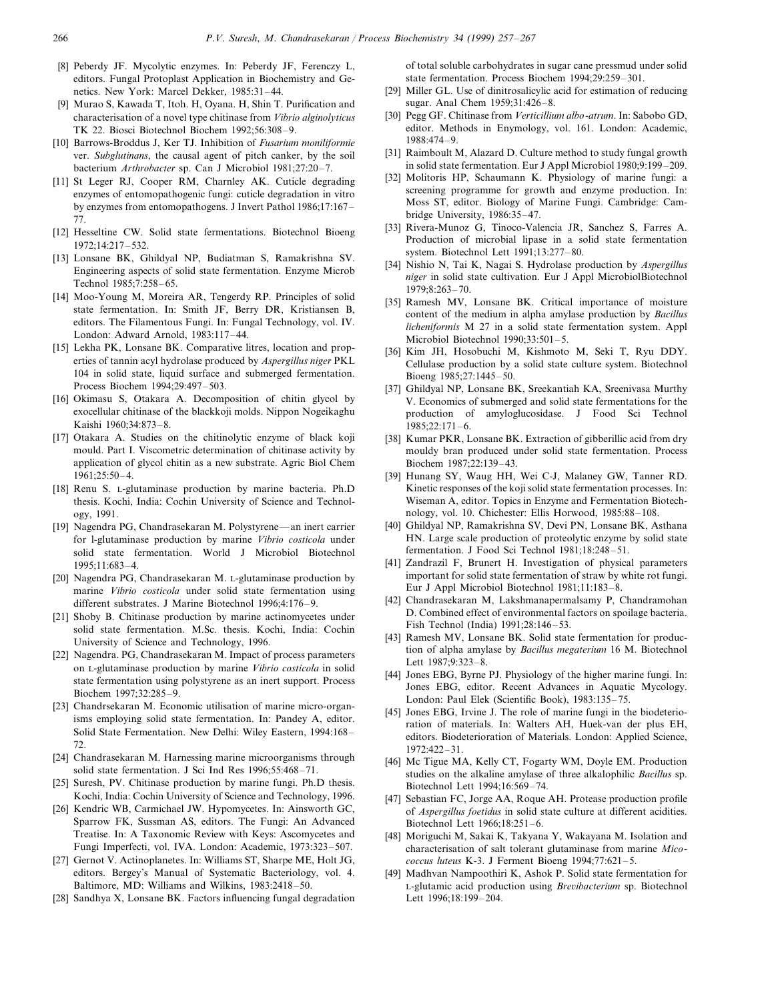- [8] Peberdy JF. Mycolytic enzymes. In: Peberdy JF, Ferenczy L, editors. Fungal Protoplast Application in Biochemistry and Genetics. New York: Marcel Dekker, 1985:31–44.
- [9] Murao S, Kawada T, Itoh. H, Oyana. H, Shin T. Purification and characterisation of a novel type chitinase from *Vibrio alginolyticus* TK 22. Biosci Biotechnol Biochem 1992;56:308–9.
- [10] Barrows-Broddus J, Ker TJ. Inhibition of *Fusarium moniliformie* ver. *Subglutinans*, the causal agent of pitch canker, by the soil bacterium *Arthrobacter* sp. Can J Microbiol 1981;27:20–7.
- [11] St Leger RJ, Cooper RM, Charnley AK. Cuticle degrading enzymes of entomopathogenic fungi: cuticle degradation in vitro by enzymes from entomopathogens. J Invert Pathol 1986;17:167– 77.
- [12] Hesseltine CW. Solid state fermentations. Biotechnol Bioeng 1972;14:217–532.
- [13] Lonsane BK, Ghildyal NP, Budiatman S, Ramakrishna SV. Engineering aspects of solid state fermentation. Enzyme Microb Technol 1985;7:258–65.
- [14] Moo-Young M, Moreira AR, Tengerdy RP. Principles of solid state fermentation. In: Smith JF, Berry DR, Kristiansen B, editors. The Filamentous Fungi. In: Fungal Technology, vol. IV. London: Adward Arnold, 1983:117–44.
- [15] Lekha PK, Lonsane BK. Comparative litres, location and properties of tannin acyl hydrolase produced by *Aspergillus niger* PKL 104 in solid state, liquid surface and submerged fermentation. Process Biochem 1994;29:497–503.
- [16] Okimasu S, Otakara A. Decomposition of chitin glycol by exocellular chitinase of the blackkoji molds. Nippon Nogeikaghu Kaishi 1960;34:873–8.
- [17] Otakara A. Studies on the chitinolytic enzyme of black koji mould. Part I. Viscometric determination of chitinase activity by application of glycol chitin as a new substrate. Agric Biol Chem 1961;25:50–4.
- [18] Renu S. L-glutaminase production by marine bacteria. Ph.D thesis. Kochi, India: Cochin University of Science and Technology, 1991.
- [19] Nagendra PG, Chandrasekaran M. Polystyrene—an inert carrier for l-glutaminase production by marine *Vibrio costicola* under solid state fermentation. World J Microbiol Biotechnol 1995;11:683–4.
- [20] Nagendra PG, Chandrasekaran M. L-glutaminase production by marine *Vibrio costicola* under solid state fermentation using different substrates. J Marine Biotechnol 1996;4:176–9.
- [21] Shoby B. Chitinase production by marine actinomycetes under solid state fermentation. M.Sc. thesis. Kochi, India: Cochin University of Science and Technology, 1996.
- [22] Nagendra. PG, Chandrasekaran M. Impact of process parameters on L-glutaminase production by marine *Vibrio costicola* in solid state fermentation using polystyrene as an inert support. Process Biochem 1997;32:285–9.
- [23] Chandrsekaran M. Economic utilisation of marine micro-organisms employing solid state fermentation. In: Pandey A, editor. Solid State Fermentation. New Delhi: Wiley Eastern, 1994:168– 72.
- [24] Chandrasekaran M. Harnessing marine microorganisms through solid state fermentation. J Sci Ind Res 1996;55:468–71.
- [25] Suresh, PV. Chitinase production by marine fungi. Ph.D thesis. Kochi, India: Cochin University of Science and Technology, 1996.
- [26] Kendric WB, Carmichael JW. Hypomycetes. In: Ainsworth GC, Sparrow FK, Sussman AS, editors. The Fungi: An Advanced Treatise. In: A Taxonomic Review with Keys: Ascomycetes and Fungi Imperfecti, vol. IVA. London: Academic, 1973:323–507.
- [27] Gernot V. Actinoplanetes. In: Williams ST, Sharpe ME, Holt JG, editors. Bergey's Manual of Systematic Bacteriology, vol. 4. Baltimore, MD: Williams and Wilkins, 1983:2418–50.
- [28] Sandhya X, Lonsane BK. Factors influencing fungal degradation

of total soluble carbohydrates in sugar cane pressmud under solid state fermentation. Process Biochem 1994;29:259–301.

- [29] Miller GL. Use of dinitrosalicylic acid for estimation of reducing sugar. Anal Chem 1959;31:426–8.
- [30] Pegg GF. Chitinase from *Verticillium albo*-*atrum*. In: Sabobo GD, editor. Methods in Enymology, vol. 161. London: Academic, 1988:474–9.
- [31] Raimboult M, Alazard D. Culture method to study fungal growth in solid state fermentation. Eur J Appl Microbiol 1980;9:199–209.
- [32] Molitoris HP, Schaumann K. Physiology of marine fungi: a screening programme for growth and enzyme production. In: Moss ST, editor. Biology of Marine Fungi. Cambridge: Cambridge University, 1986:35–47.
- [33] Rivera-Munoz G, Tinoco-Valencia JR, Sanchez S, Farres A. Production of microbial lipase in a solid state fermentation system. Biotechnol Lett 1991;13:277–80.
- [34] Nishio N, Tai K, Nagai S. Hydrolase production by *Aspergillus niger* in solid state cultivation. Eur J Appl MicrobiolBiotechnol 1979;8:263–70.
- [35] Ramesh MV, Lonsane BK. Critical importance of moisture content of the medium in alpha amylase production by *Bacillus licheniformis* M 27 in a solid state fermentation system. Appl Microbiol Biotechnol 1990;33:501–5.
- [36] Kim JH, Hosobuchi M, Kishmoto M, Seki T, Ryu DDY. Cellulase production by a solid state culture system. Biotechnol Bioeng 1985;27:1445–50.
- [37] Ghildyal NP, Lonsane BK, Sreekantiah KA, Sreenivasa Murthy V. Economics of submerged and solid state fermentations for the production of amyloglucosidase. J Food Sci Technol 1985;22:171–6.
- [38] Kumar PKR, Lonsane BK. Extraction of gibberillic acid from dry mouldy bran produced under solid state fermentation. Process Biochem 1987;22:139–43.
- [39] Hunang SY, Waug HH, Wei C-J, Malaney GW, Tanner RD. Kinetic responses of the koji solid state fermentation processes. In: Wiseman A, editor. Topics in Enzyme and Fermentation Biotechnology, vol. 10. Chichester: Ellis Horwood, 1985:88–108.
- [40] Ghildyal NP, Ramakrishna SV, Devi PN, Lonsane BK, Asthana HN. Large scale production of proteolytic enzyme by solid state fermentation. J Food Sci Technol 1981;18:248–51.
- [41] Zandrazil F, Brunert H. Investigation of physical parameters important for solid state fermentation of straw by white rot fungi. Eur J Appl Microbiol Biotechnol 1981;11:183–8.
- [42] Chandrasekaran M, Lakshmanapermalsamy P, Chandramohan D. Combined effect of environmental factors on spoilage bacteria. Fish Technol (India) 1991;28:146–53.
- [43] Ramesh MV, Lonsane BK. Solid state fermentation for production of alpha amylase by *Bacillus megaterium* 16 M. Biotechnol Lett 1987;9:323–8.
- [44] Jones EBG, Byrne PJ. Physiology of the higher marine fungi. In: Jones EBG, editor. Recent Advances in Aquatic Mycology. London: Paul Elek (Scientific Book), 1983:135–75.
- [45] Jones EBG, Irvine J. The role of marine fungi in the biodeterioration of materials. In: Walters AH, Huek-van der plus EH, editors. Biodeterioration of Materials. London: Applied Science, 1972:422–31.
- [46] Mc Tigue MA, Kelly CT, Fogarty WM, Doyle EM. Production studies on the alkaline amylase of three alkalophilic *Bacillus* sp. Biotechnol Lett 1994;16:569–74.
- [47] Sebastian FC, Jorge AA, Roque AH. Protease production profile of *Aspergillus foetidus* in solid state culture at different acidities. Biotechnol Lett 1966;18:251–6.
- [48] Moriguchi M, Sakai K, Takyana Y, Wakayana M. Isolation and characterisation of salt tolerant glutaminase from marine *Micococcus luteus* K-3. J Ferment Bioeng 1994;77:621–5.
- [49] Madhvan Nampoothiri K, Ashok P. Solid state fermentation for L-glutamic acid production using *Brevibacterium* sp. Biotechnol Lett 1996;18:199–204.